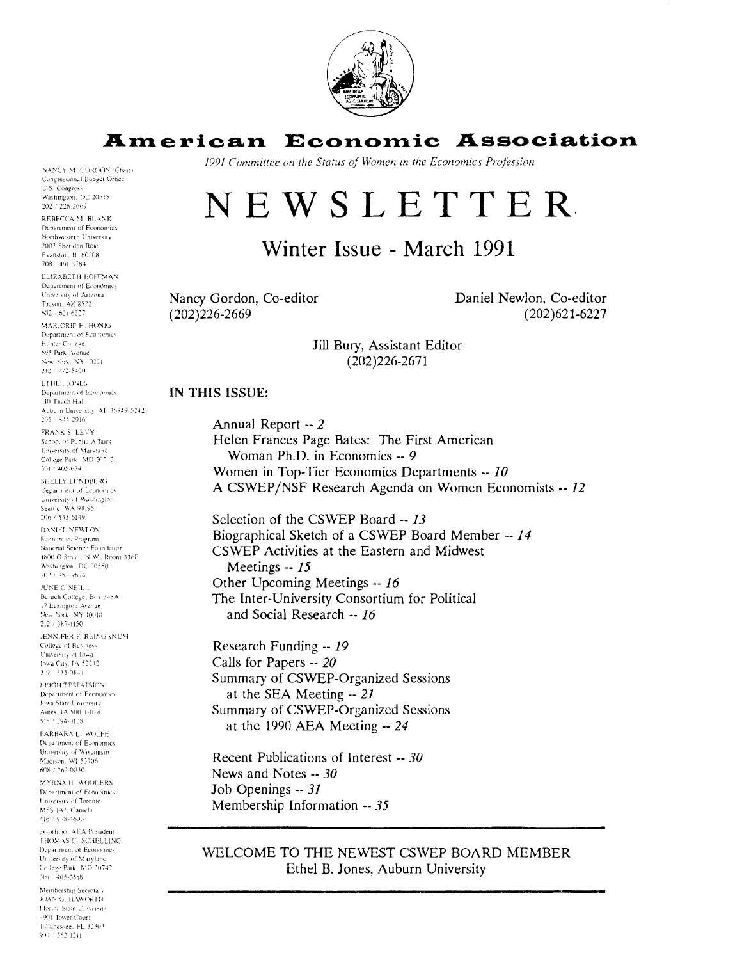

## **American Economic Association**

*1991 Committee on the Status of Women* **In** *the Economics Projessioil* 

# NEWSLETTER

# Winter Issue - March 1991

Nancy Gordon, Co-editor (202)226-2669

Daniel Newlon, Co-editor (202)62 1-6227

Jill Bury, Assistant Editor (202)226-2671

#### **IN THIS ISSUE:**

Annual Report -- *2*  Helen Frances Page Bates: The First American Woman Ph.D. in Economics -- *9*  Women in Top-Tier Economics Departments -- *10*  A CSWEP/NSF Research Agenda on Women Economists -- *12* 

Selection of the CSWEP Board -- *13*  Biographical Sketch of a CSWEP Board Member -- *14*  CSWEP Activities at the Eastern and Midwest Meetings -- *15*  Other Upcoming Meetings -- *16*  The Inter-University Consortium for Political and Social Research -- *16* 

Research Funding -- *19*  Calls for Papers -- *20*  Summary of CSWEP-Organized Sessions at the SEA Meeting -- *21*  Summary of CSWEP-Organized Sessions at the 1990 AEA Meeting -- *24* 

Recent Publications of Interest -- *30*  News and Notes -- *30*  Job Openings -- *31*  Membership Information -- *35* 

#### WELCOME TO THE NEWEST CSWEP BOARD MEMBER Ethel B. Jones, Auburn University

NANCY M. GORDON (Chair) Congressional Budget Office **U.S. Congress** Washington, DC 20515  $202 / 226 - 2669$ 

REBECCA M. BLANK Department of Economics Northwestern University 2003 Sheridan Road Exanston, U. 60208 708 / 491 3784

ELIZABETH HOFFMAN Department of Economics University of Arizona Ticson, AZ 85721  $602 \div 621.6227$ 

MARIORIE H. HONIG Department of Economics Hunter College 695 Park Avenue New York, NY 10221 212 / 772-5400

**ETHEL JONES** Department of Economics 110 Thach Hall Auburn University, AL 36849-5242.  $205 - 844 - 2916$ 

FRANK S LEVY School of Public Affairs University of Maryland College Park, MD 20742  $301 \div 405.6341$ 

SHELLY LUNDBERG Department of Economics University of Washington Seattle, WA 98195  $206 / 543.6149$ 

**DANIEL NEWLON** Economics Program National Science Foundation 1800 G Street, N.W., Room 336F Washington, DC 20550<br>202 / 357-9674

JUNE O'NEILL Baruch College, Box 348A 17 Lexington Avenue New York, NY 10010 212 / 387-1150

JENNIFER F REINGANUM College of Business University of Iowa Iowa City, TA 52242 319 - 335-0841

**LEIGH TESEATSION** Department of Economics lowa State University Ames. JA 50011-1070 515 / 294-0138

BARBARA L. WOLFE Department of Economics University of Wisconsin Madison, WJ 53706 608 / 262-0030

MYRNA H WOODERS Department of Economics University of Toronto MSS (A), Canada 416 / 978-4603

ex-officio. AEA President THOMAS C. SCHELLING Department of Economics University of Maryland College Park, MD 20742  $301 - 405 - 3518$ 

Membership Secretary JOAN G. HAWORTH Florida State University 4901 Tower Court Tailahassee, FL 32303 904 / 562-1211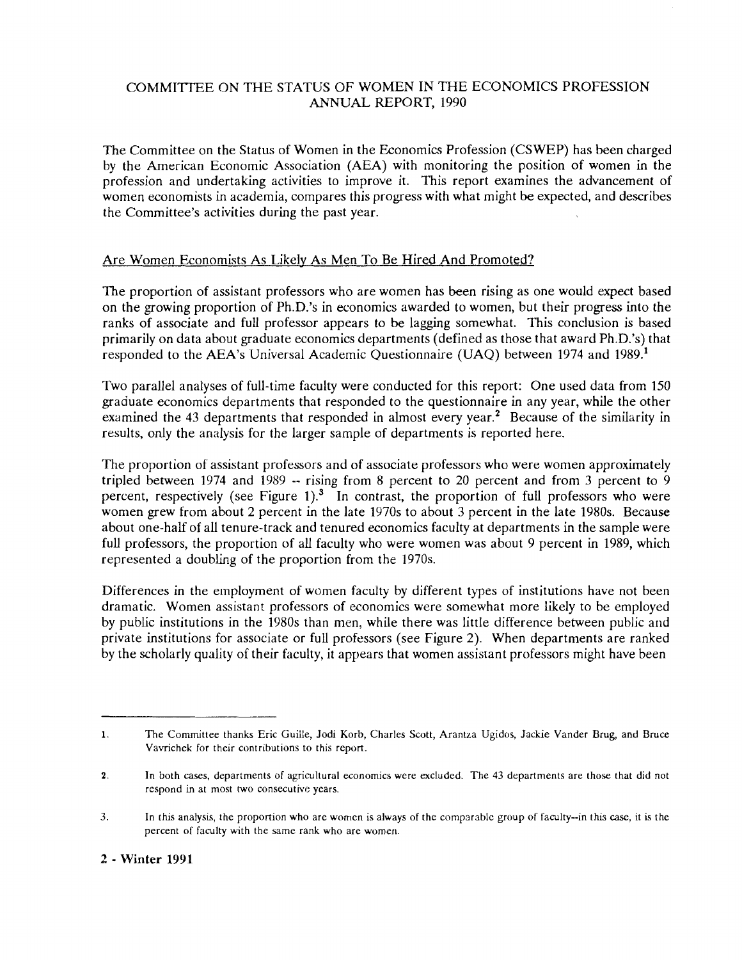#### COMMITTEE ON THE STATUS OF WOMEN IN THE ECONOMICS PROFESSION ANNUAL REPORT, 1990

The Committee on the Status of Women in the Economics Profession (CSWEP) has been charged by the American Economic Association (AEA) with monitoring the position of women in the profession and undertaking activities to improve it. This report examines the advancement of women economists in academia, compares this progress with what might be expected, and describes the Committee's activities during the past year.

## Are Women Economists As Likelv As Men To Be Hired And Promoted?

The proportion of assistant professors who are women has been rising as one would expect based on the growing proportion of Ph.D.'s in economics awarded to women, but their progress into the ranks of associate and full professor appears to be lagging somewhat. This conclusion is based primarily on data about graduate economics departments (defined as those that award Ph.D.'s) that responded to the AEA's Universal Academic Questionnaire (UAQ) between 1974 and 1989.'

Two parallel analyses of full-time faculty were conducted for this report: One used data from 150 graduate economics departments that responded to the questionnaire in any year, while the other examined the 43 departments that responded in almost every year.<sup>2</sup> Because of the similarity in results, only the analysis for the larger sample of departments is reported here.

The proportion of assistant professors and of associate professors who were women approximately tripled between 1974 and 1989 -- rising from 8 percent to 20 percent and from **3** percent to 9 percent, respectively (see Figure 1).<sup>3</sup> In contrast, the proportion of full professors who were women grew from about 2 percent in the late 1970s to about 3 percent in the late 1980s. Because about one-half of all tenure-track and tenured economics faculty at departments in the sample were full professors, the proportion of all faculty who were women was about 9 percent in 1989, which represented a doubling of the proportion from the 1970s.

Differences in the employment of women faculty by different types of institutions have not been dramatic. Women assistant professors of economics were somewhat more Likely to be employed by public institutions in the 1980s than men, while there was little difference between public and private institutions for associate or full professors (see Figure 2). When departments are ranked by the scholarly quality of their faculty, it appears that women assistant professors might have been

**<sup>1.</sup>** The Committee thanks Eric Guille, Jodi Korb, Charles Scott, Arantza Ugidos, Jackie Vander Brug, and Bruce Vavrichek for their contributions to this report.

<sup>2.</sup> In both cases, departments of agricultural economics were excluded. The 43 departments are those that did not respond in at most two consecutive years.

<sup>3.</sup> In this analysis, the proportion who are women is always of the comparable group of faculty-in this case, it is the percent of faculty with the same rank who are women.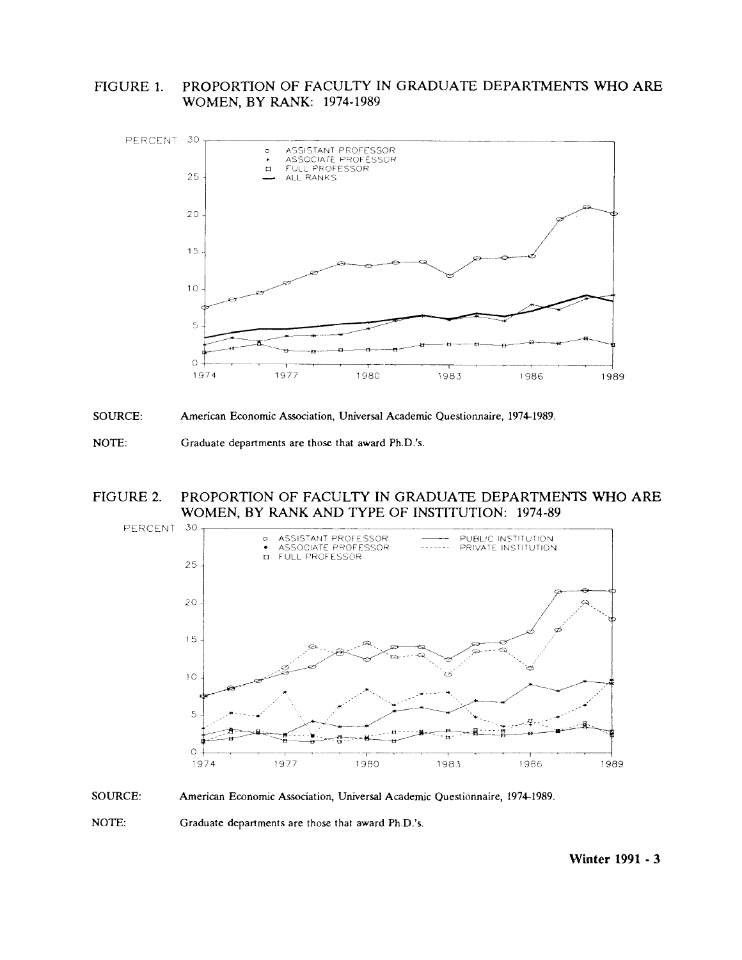PROPORTION OF FACULTY IN GRADUATE DEPARTMENTS WHO ARE FIGURE 1. WOMEN, BY RANK: 1974-1989





NOTE: Graduate departments are those that award Ph.D.'s.

#### PROPORTION OF FACULTY IN GRADUATE DEPARTMENTS WHO ARE FIGURE 2. WOMEN, BY RANK AND TYPE OF INSTITUTION: 1974-89





NOTE: Graduate departments are those that award Ph.D.'s.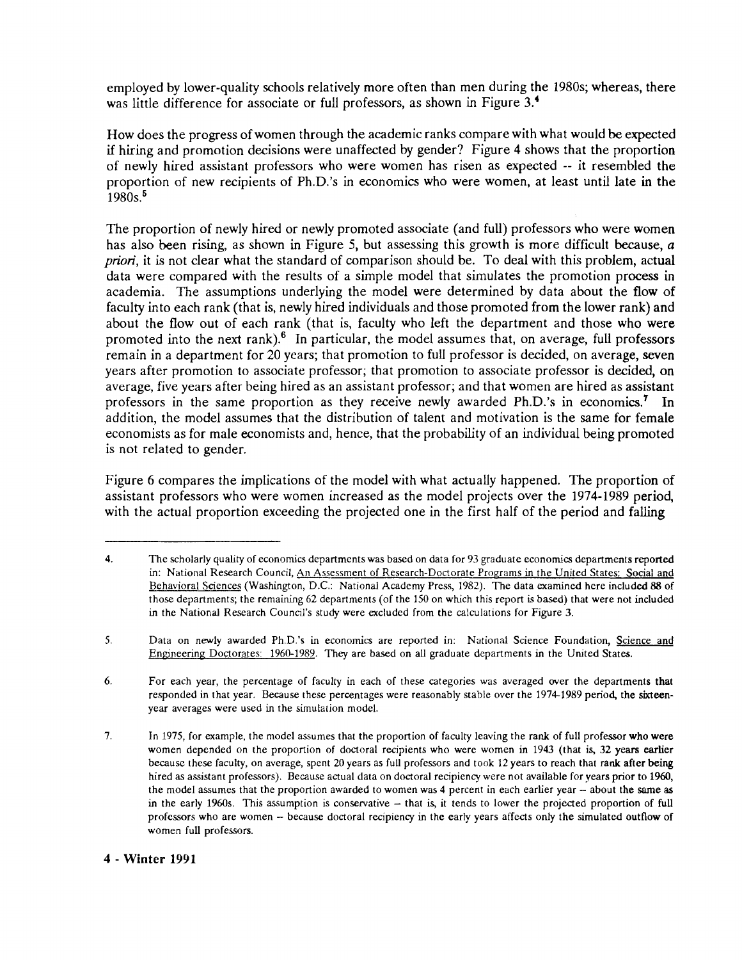employed by lower-quality schools relatively more often than men during the 1980s; whereas, there was little difference for associate or full professors, as shown in Figure 3.<sup>4</sup>

How does the progress of women through the academic ranks compare with what would be expected if hiring and promotion decisions were unaffected by gender? Figure 4 shows that the proportion of newly hired assistant professors who were women has risen as expected -- it resembled the proportion of new recipients of Ph.D.'s in economics who were women, at least until late in the 1980s.<sup>5</sup>

The proportion of newly hired or newly promoted associate (and full) professors who were women has also been rising, as shown in Figure 5, but assessing this growth is more difficult because, a *priori*, it is not clear what the standard of comparison should be. To deal with this problem, actual data were compared with the results of a simple model that simulates the promotion process in academia. The assumptions underlying the model were determined by data about the flow of faculty into each rank (that is, newly hired individuals and those promoted from the lower rank) and about the flow out of each rank (that is, faculty who left the department and those who were promoted into the next rank).<sup>6</sup> In particular, the model assumes that, on average, full professors remain in a department for 20 years; that promotion to full professor is decided, on average, seven years after promotion to associate professor; that promotion to associate professor is decided, on average, five years after being hired as an assistant professor; and that women are hired as assistant professors in the same proportion as they receive newly awarded Ph.D.'s in economics.<sup>7</sup> In addition, the model assumes that the distribution of talent and motivation is the same for female economists as for male economists and, hence, that the probability of an individual being promoted is not related to gender.

Figure 6 compares the implications of the model with what actually happened. The proportion of assistant professors who were women increased as the model projects over the 1974-1989 period, with the actual proportion exceeding the projected one in the first half of the period and falling

#### 4 - Winter **1991**

<sup>4.</sup> The scholarly quality of economics departments was based on data for 93 graduate economics departments reported in: National Research Council, An Assessment of Research-Doctorate Programs in the United States: Social and Behavioral Sciences (Washington, D.C.: National Academy Press, 1982). The data examined here included 88 of those departments; the remaining 62 departments (of the 150 on which this report **k** based) that were not included in the National Research Council's study were excluded from the calculations for Figure **3.** 

<sup>5.</sup> Data on newly awarded Ph.D.'s in economics are reported in: National Science Foundation, Science and Engineering Doctorates: 1960-1989. They are based on all graduate departments in the United States.

**<sup>6.</sup>** For each year, the percentage of faculty in each of these categories was averaged wer the departments that responded in that year. Because these percentages were reasonably stable over the 1974-1989 period, the sixteenyear averages were used in the simulation model.

<sup>7.</sup> In 1975, for example, the model assumes that the proportion of faculty leaving the rank of full professor who were women depended on the proportion of doctoral recipients who were women in 1943 (that is, 32 years earlier because these faculty, on average, spent *20* years as full professors and took 12 years to reach that rank after **being**  hired as assistant professors). Because actual data on doctoral recipiency were not available for years prior to **1960,**  the model assumes that the proportion awarded to women was 4 percent in each earlier year -- about the same as in the early 1960s. This assumption is conservative – that is, it tends to lower the projected proportion of full professors who are women - because doctoral recipiency in the early years affects only the simulated outflow of women full professors.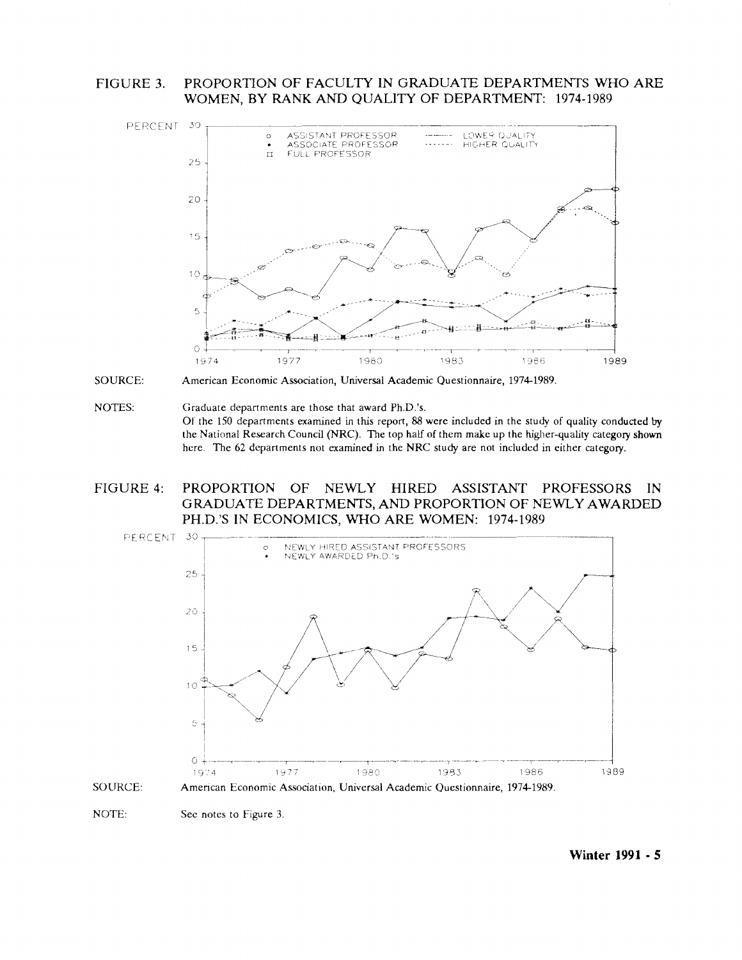FIGURE 3. PROPORTION OF FACULTY IN GRADUATE DEPARTMENTS WHO ARE WOMEN, BY RANK AND QUALITY OF DEPARTMENT: 1974-1989







#### FIGURE 4: PROPORTION OF NEWLY HIRED ASSISTANT PROFESSORS  $IN$ GRADUATE DEPARTMENTS, AND PROPORTION OF NEWLY AWARDED PH.D.'S IN ECONOMICS, WHO ARE WOMEN: 1974-1989



NOTE: See notes to Figure 3.

Winter 1991 - 5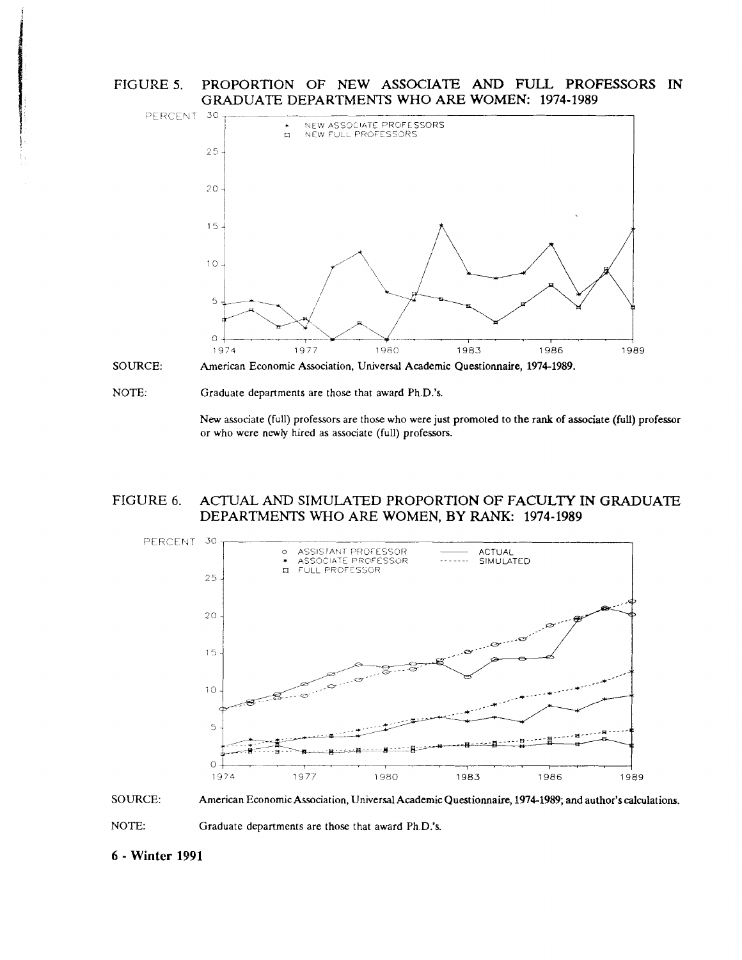FIGURE 5. PROPORTION OF NEW ASSOCIATE AND FULL PROFESSORS IN GRADUATE DEPARTMENTS WHO ARE WOMEN: **1974- 1989** 



NOTE: Graduate departments are those that award Ph.D.'s.

New associate (full) professors are those who were just promoted to the rank of associate (full) professor or who were newly hired as associate (full) professors.

#### FIGURE 6. ACTUAL AND SIMULATED PROPORTION OF FACULTY IN GRADUATE DEPARTMENTS WHO ARE WOMEN, BY RANK: **1974-1989**





**6** - **Winter 1991**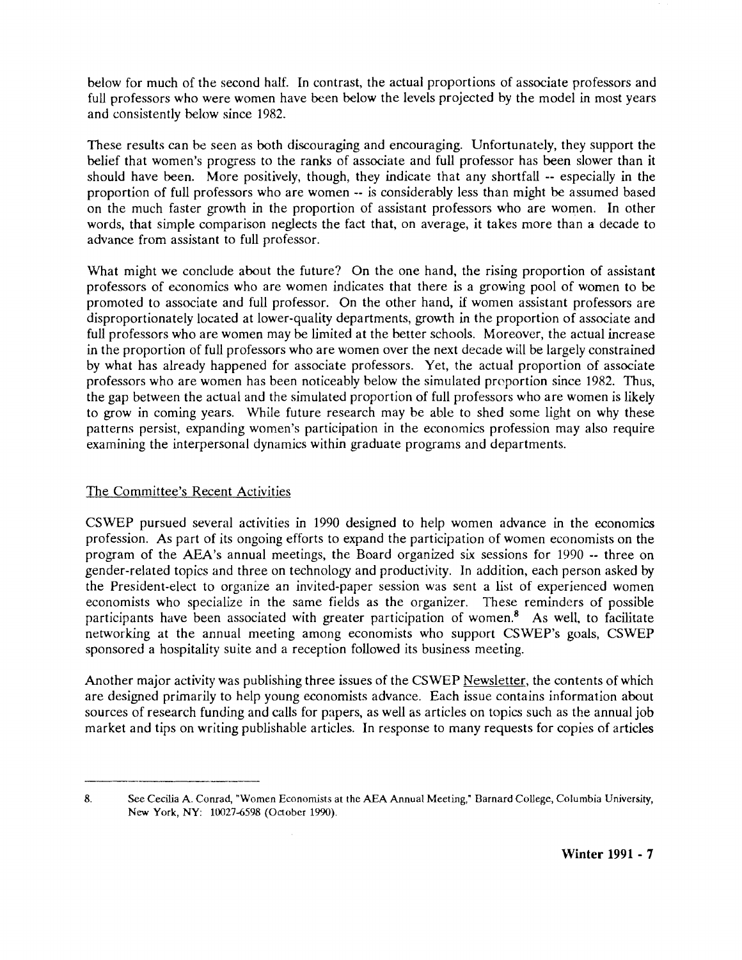below for much of the second half. In contrast, the actual proportions of associate professors and full professors who were women have been below the levels projected by the model in most years and consistently below since 1982.

These results can be seen as both discouraging and encouraging. Unfortunately, they support the belief that women's progress to the ranks of associate and full professor has been slower than it should have been. More positively, though, they indicate that any shortfall -- especially in the proportion of full professors who are women -- is considerably less than might be assumed based on the much faster growth in the proportion of assistant professors who are women. In other words, that simple comparison neglects the fact that, on average, it takes more than a decade to advance from assistant to full professor.

What might we conclude about the future? On the one hand, the rising proportion of assistant professors of economics who are women indicates that there is a growing pool of women to be promoted to associate and full professor. On the other hand, if women assistant professors are disproportionately located at lower-quality departments, growth in the proportion of associate and full professors who are women may be limited at the better schools. Moreover, the actual increase in the proportion of full professors who are women over the next decade will be largely constrained by what has already happened for associate professors. Yet, the actual proportion of associate professors who are women has been noticeably below the simulated proportion since 1982. Thus, the gap between the actual and the simulated proportion of full professors who are women is likely to grow in coming years. While future research may be able to shed some light on why these patterns persist, expanding women's participation in the economics profession may also require examining the interpersonal dynamics within graduate programs and departments.

## The Committee's Recent Activities

CSWEP pursued several activities in 1990 designed to help women advance in the economics profession. As part of its ongoing efforts to expand the participation of women economists on the program of the AEA's annual meetings, the Board organized six sessions for 1990 -- three on gender-related topics and three on technology and productivity. In addition, each person asked by the President-elect to organize an invited-paper session was sent a list of experienced women economists who specialize in the same fields as the organizer. These reminders of possible participants have been associated with greater participation of women. $\delta$  As well, to facilitate networking at the annual meeting among economists who support CSWEP's goals, CSWEP sponsored a hospitality suite and a reception followed its business meeting.

Another major activity was publishing three issues of the CSWEP Newsletter, the contents of which are designed primarily to help young economists advance. Each issue contains information about sources of research funding and calls for papers, as well as articles on topics such as the annual job market and tips on writing publishable articles. In response to many requests for copies of articles

**<sup>8.</sup>** *See* **Cecilia A. Conrad, "Women Economists at the AEA Annual Meeting," Barnard College, Columbia University, New York, NY: 10027-6598 (Oaobcr 1990).**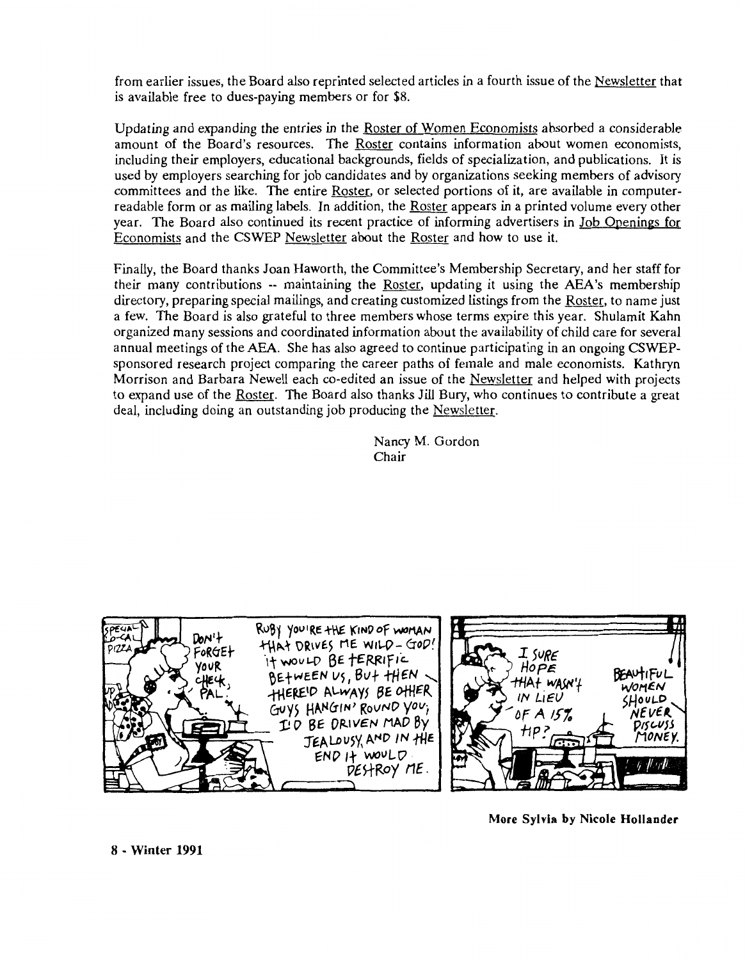from earlier issues, the Board also reprinted selected articles in a fourth issue of the Newsletter that is available free to dues-paying members or for \$8.

Updating and expanding the entries in the Roster of Women Economists absorbed a considerable amount of the Board's resources. The Roster contains information about women economists, including their employers, educational backgrounds, fields of specialization, and publications. It is used by employers searching for job candidates and by organizations seeking members of advisory committees and the like. The entire Roster, or selected portions of it, are available in computerreadable form or as mailing labels. In addition, the Roster appears in a printed volume every other year. The Board also continued its recent practice of informing advertisers in Job Openings for Economists and the CSWEP Newsletter about the Roster and how to use it.

Finally, the Board thanks Joan Haworth, the Committee's Membership Secretary, and her staff for their many contributions -- maintaining the Roster, updating it using the AEA's membership directory, preparing special mailings, and creating customized listings from the Roster, to name just a few. The Board is also grateful to three members whose terms expire this year. Shulamit Kahn organized many sessions and coordinated information about the availability of child care for several annual meetings of the **AEA.** She has also agreed to continue participating in an ongoing CSWEPsponsored research project comparing the career paths of female and male economists. Kathryn Morrison and Barbara Newell each co-edited an issue of the Newsletter and helped with projects to expand use of the Roster. The Board also thanks Jill Bury, who continues to contribute a great deal, including doing an outstanding job producing the Newsletter.

> Nancy M. Gordon Chair





**More Sylvia by Nicole Hollander** 

**8** - **Winter 1991**